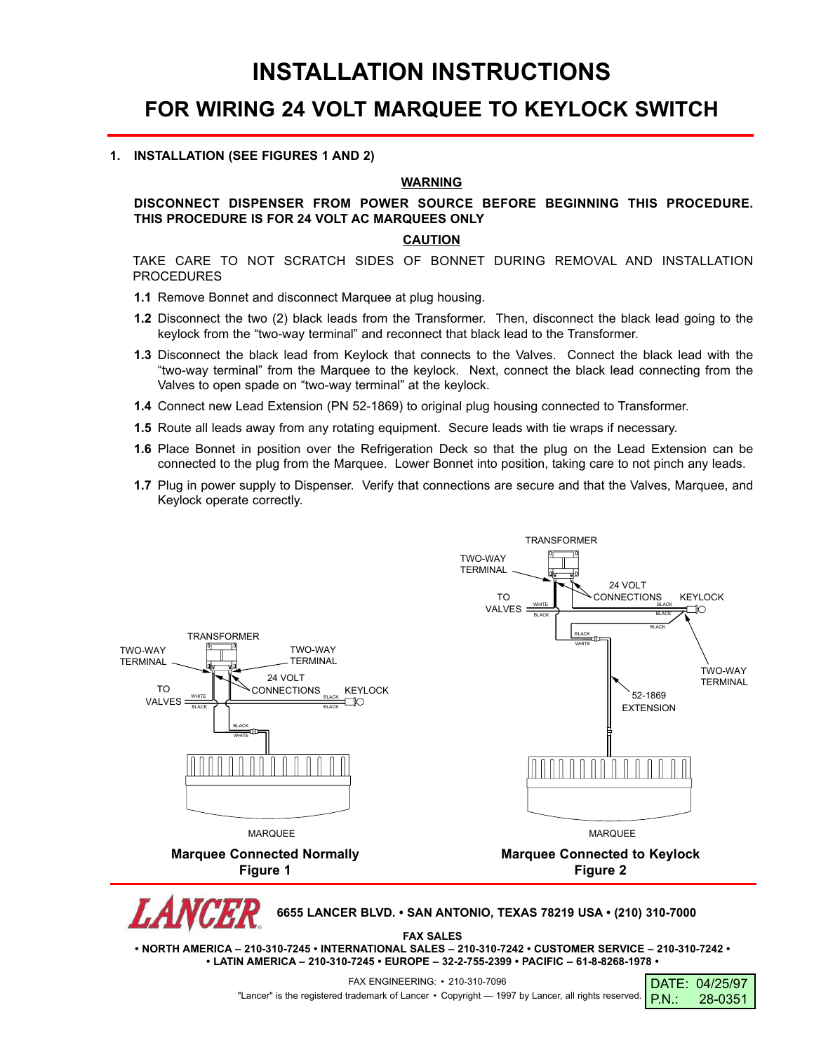## **INSTALLATION INSTRUCTIONS**

### **FOR WIRING 24 VOLT MARQUEE TO KEYLOCK SWITCH**

### **1. INSTALLATION (SEE FIGURES 1 AND 2)**

### **WARNING**

### **DISCONNECT DISPENSER FROM POWER SOURCE BEFORE BEGINNING THIS PROCEDURE. THIS PROCEDURE IS FOR 24 VOLT AC MARQUEES ONLY**

### **CAUTION**

TAKE CARE TO NOT SCRATCH SIDES OF BONNET DURING REMOVAL AND INSTALLATION PROCEDURES

- **1.1** Remove Bonnet and disconnect Marquee at plug housing.
- **1.2** Disconnect the two (2) black leads from the Transformer. Then, disconnect the black lead going to the keylock from the "two-way terminal" and reconnect that black lead to the Transformer.
- **1.3** Disconnect the black lead from Keylock that connects to the Valves. Connect the black lead with the "two-way terminal" from the Marquee to the keylock. Next, connect the black lead connecting from the Valves to open spade on "two-way terminal" at the keylock.
- **1.4** Connect new Lead Extension (PN 52-1869) to original plug housing connected to Transformer.
- **1.5** Route all leads away from any rotating equipment. Secure leads with tie wraps if necessary.
- **1.6** Place Bonnet in position over the Refrigeration Deck so that the plug on the Lead Extension can be connected to the plug from the Marquee. Lower Bonnet into position, taking care to not pinch any leads.
- **1.7** Plug in power supply to Dispenser. Verify that connections are secure and that the Valves, Marquee, and Keylock operate correctly.



**• LATIN AMERICA – 210-310-7245 • EUROPE – 32-2-755-2399 • PACIFIC – 61-8-8268-1978 •**

DATE: 04/25/97 P.N.: 28-0351 FAX ENGINEERING: • 210-310-7096

"Lancer" is the registered trademark of Lancer • Copyright — 1997 by Lancer, all rights reserved.